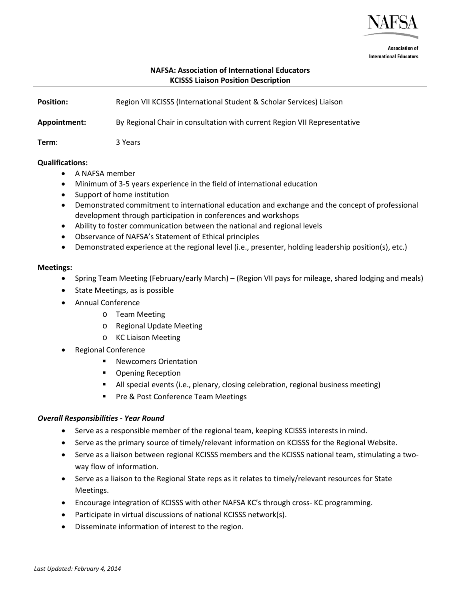

**Association of International Educators** 

# **NAFSA: Association of International Educators KCISSS Liaison Position Description**

**Position: Region VII KCISSS (International Student & Scholar Services) Liaison Appointment:** By Regional Chair in consultation with current Region VII Representative **Term**: 3 Years

#### **Qualifications:**

- A NAFSA member
- Minimum of 3-5 years experience in the field of international education
- Support of home institution
- Demonstrated commitment to international education and exchange and the concept of professional development through participation in conferences and workshops
- Ability to foster communication between the national and regional levels
- Observance of NAFSA's Statement of Ethical principles
- Demonstrated experience at the regional level (i.e., presenter, holding leadership position(s), etc.)

#### **Meetings:**

- Spring Team Meeting (February/early March) (Region VII pays for mileage, shared lodging and meals)
- State Meetings, as is possible
- Annual Conference
	- o Team Meeting
	- o Regional Update Meeting
	- o KC Liaison Meeting
- Regional Conference
	- Newcomers Orientation
	- **•** Opening Reception
	- All special events (i.e., plenary, closing celebration, regional business meeting)
	- Pre & Post Conference Team Meetings

### *Overall Responsibilities - Year Round*

- Serve as a responsible member of the regional team, keeping KCISSS interests in mind.
- Serve as the primary source of timely/relevant information on KCISSS for the Regional Website.
- Serve as a liaison between regional KCISSS members and the KCISSS national team, stimulating a twoway flow of information.
- Serve as a liaison to the Regional State reps as it relates to timely/relevant resources for State Meetings.
- Encourage integration of KCISSS with other NAFSA KC's through cross- KC programming.
- Participate in virtual discussions of national KCISSS network(s).
- Disseminate information of interest to the region.